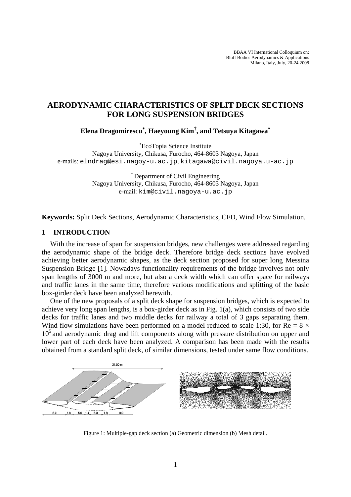BBAA VI International Colloquium on: Bluff Bodies Aerodynamics & Applications Milano, Italy, July, 20-24 2008

# **AERODYNAMIC CHARACTERISTICS OF SPLIT DECK SECTIONS FOR LONG SUSPENSION BRIDGES**

**Elena Dragomirescu**<sup>∗</sup> **, Haeyoung Kim† , and Tetsuya Kitagawa**<sup>∗</sup>

∗ EcoTopia Science Institute

Nagoya University, Chikusa, Furocho, 464-8603 Nagoya, Japan e-mails: elndrag@esi.nagoy-u.ac.jp, kitagawa@civil.nagoya.u-ac.jp

> <sup>†</sup> Department of Civil Engineering Nagoya University, Chikusa, Furocho, 464-8603 Nagoya, Japan e-mail: kim@civil.nagoya-u.ac.jp

**Keywords:** Split Deck Sections, Aerodynamic Characteristics, CFD, Wind Flow Simulation.

## **1 INTRODUCTION**

With the increase of span for suspension bridges, new challenges were addressed regarding the aerodynamic shape of the bridge deck. Therefore bridge deck sections have evolved achieving better aerodynamic shapes, as the deck section proposed for super long Messina Suspension Bridge [1]. Nowadays functionality requirements of the bridge involves not only span lengths of 3000 m and more, but also a deck width which can offer space for railways and traffic lanes in the same time, therefore various modifications and splitting of the basic box-girder deck have been analyzed herewith.

One of the new proposals of a split deck shape for suspension bridges, which is expected to achieve very long span lengths, is a box-girder deck as in Fig. 1(a), which consists of two side decks for traffic lanes and two middle decks for railway a total of 3 gaps separating them. Wind flow simulations have been performed on a model reduced to scale 1:30, for Re =  $8 \times$  $10<sup>5</sup>$  and aerodynamic drag and lift components along with pressure distribution on upper and lower part of each deck have been analyzed. A comparison has been made with the results obtained from a standard split deck, of similar dimensions, tested under same flow conditions.



Figure 1: Multiple-gap deck section (a) Geometric dimension (b) Mesh detail.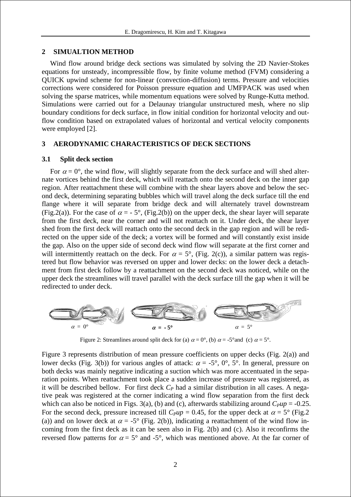#### **2 SIMUALTION METHOD**

Wind flow around bridge deck sections was simulated by solving the 2D Navier-Stokes equations for unsteady, incompressible flow, by finite volume method (FVM) considering a QUICK upwind scheme for non-linear (convection-diffusion) terms. Pressure and velocities corrections were considered for Poisson pressure equation and UMFPACK was used when solving the sparse matrices, while momentum equations were solved by Runge-Kutta method. Simulations were carried out for a Delaunay triangular unstructured mesh, where no slip boundary conditions for deck surface, in flow initial condition for horizontal velocity and outflow condition based on extrapolated values of horizontal and vertical velocity components were employed [2].

## **3 AERODYNAMIC CHARACTERISTICS OF DECK SECTIONS**

#### **3.1 Split deck section**

For  $\alpha = 0^{\circ}$ , the wind flow, will slightly separate from the deck surface and will shed alternate vortices behind the first deck, which will reattach onto the second deck on the inner gap region. After reattachment these will combine with the shear layers above and below the second deck, determining separating bubbles which will travel along the deck surface till the end flange where it will separate from bridge deck and will alternately travel downstream (Fig.2(a)). For the case of  $\alpha = -5^{\circ}$ , (Fig.2(b)) on the upper deck, the shear layer will separate from the first deck, near the corner and will not reattach on it. Under deck, the shear layer shed from the first deck will reattach onto the second deck in the gap region and will be redirected on the upper side of the deck; a vortex will be formed and will constantly exist inside the gap. Also on the upper side of second deck wind flow will separate at the first corner and will intermittently reattach on the deck. For  $\alpha = 5^{\circ}$ , (Fig. 2(c)), a similar pattern was registered but flow behavior was reversed on upper and lower decks: on the lower deck a detachment from first deck follow by a reattachment on the second deck was noticed, while on the upper deck the streamlines will travel parallel with the deck surface till the gap when it will be redirected to under deck.



Figure 2: Streamlines around split deck for (a)  $\alpha = 0^{\circ}$ , (b)  $\alpha = -5^{\circ}$  and (c)  $\alpha = 5^{\circ}$ .

Figure 3 represents distribution of mean pressure coefficients on upper decks (Fig. 2(a)) and lower decks (Fig. 3(b)) for various angles of attack:  $\alpha = -5^{\circ}$ , 0°, 5°. In general, pressure on both decks was mainly negative indicating a suction which was more accentuated in the separation points. When reattachment took place a sudden increase of pressure was registered, as it will be described bellow. For first deck  $C_P$  had a similar distribution in all cases. A negative peak was registered at the corner indicating a wind flow separation from the first deck which can also be noticed in Figs. 3(a), (b) and (c), afterwards stabilizing around  $C_{\text{p}}\mu$  = -0.25. For the second deck, pressure increased till  $C_{p}\mu p = 0.45$ , for the upper deck at  $\alpha = 5^{\circ}$  (Fig.2) (a)) and on lower deck at  $\alpha = -5^{\circ}$  (Fig. 2(b)), indicating a reattachment of the wind flow incoming from the first deck as it can be seen also in Fig. 2(b) and (c). Also it reconfirms the reversed flow patterns for  $\alpha = 5^{\circ}$  and -5°, which was mentioned above. At the far corner of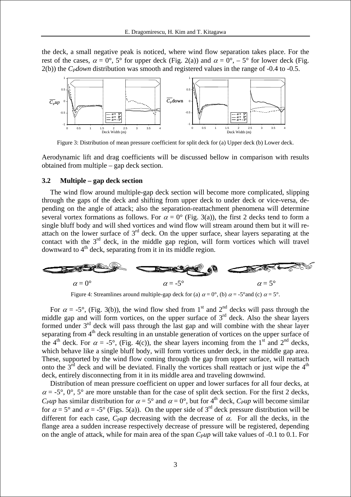the deck, a small negative peak is noticed, where wind flow separation takes place. For the rest of the cases,  $\alpha = 0^{\circ}$ ,  $5^{\circ}$  for upper deck (Fig. 2(a)) and  $\alpha = 0^{\circ}$ ,  $-5^{\circ}$  for lower deck (Fig. 2(b)) the *C<sub>P</sub>down* distribution was smooth and registered values in the range of -0.4 to -0.5.



Figure 3: Distribution of mean pressure coefficient for split deck for (a) Upper deck (b) Lower deck.

Aerodynamic lift and drag coefficients will be discussed bellow in comparison with results obtained from multiple – gap deck section.

## **3.2 Multiple – gap deck section**

The wind flow around multiple-gap deck section will become more complicated, slipping through the gaps of the deck and shifting from upper deck to under deck or vice-versa, depending on the angle of attack; also the separation-reattachment phenomena will determine several vortex formations as follows. For  $\alpha = 0^{\circ}$  (Fig. 3(a)), the first 2 decks tend to form a single bluff body and will shed vortices and wind flow will stream around them but it will reattach on the lower surface of  $3<sup>rd</sup>$  deck. On the upper surface, shear layers separating at the contact with the  $3<sup>rd</sup>$  deck, in the middle gap region, will form vortices which will travel downward to  $4<sup>th</sup>$  deck, separating from it in its middle region.



Figure 4: Streamlines around multiple-gap deck for (a)  $\alpha = 0^{\circ}$ , (b)  $\alpha = -5^{\circ}$  and (c)  $\alpha = 5^{\circ}$ .

For  $\alpha = -5^{\circ}$ , (Fig. 3(b)), the wind flow shed from 1<sup>st</sup> and 2<sup>nd</sup> decks will pass through the middle gap and will form vortices, on the upper surface of  $3<sup>rd</sup>$  deck. Also the shear layers formed under  $3<sup>rd</sup>$  deck will pass through the last gap and will combine with the shear layer separating from  $4<sup>th</sup>$  deck resulting in an unstable generation of vortices on the upper surface of the 4<sup>th</sup> deck. For  $\alpha = -5^{\circ}$ , (Fig. 4(c)), the shear layers incoming from the 1<sup>st</sup> and 2<sup>nd</sup> decks, which behave like a single bluff body, will form vortices under deck, in the middle gap area. These, supported by the wind flow coming through the gap from upper surface, will reattach onto the  $3<sup>rd</sup>$  deck and will be deviated. Finally the vortices shall reattach or just wipe the  $4<sup>th</sup>$ deck, entirely disconnecting from it in its middle area and traveling downwind.

Distribution of mean pressure coefficient on upper and lower surfaces for all four decks, at  $\alpha = -5^{\circ}$ ,  $0^{\circ}$ ,  $5^{\circ}$  are more unstable than for the case of split deck section. For the first 2 decks, *C<sub>P</sub>up* has similar distribution for  $\alpha = 5^{\circ}$  and  $\alpha = 0^{\circ}$ , but for 4<sup>th</sup> deck, *C<sub>P</sub>up* will become similar for  $\alpha = 5^{\circ}$  and  $\alpha = -5^{\circ}$  (Figs. 5(a)). On the upper side of 3<sup>rd</sup> deck pressure distribution will be different for each case,  $C_{\text{pup}}$  decreasing with the decrease of  $\alpha$ . For all the decks, in the flange area a sudden increase respectively decrease of pressure will be registered, depending on the angle of attack, while for main area of the span  $C_{\mu\nu}$  will take values of -0.1 to 0.1. For